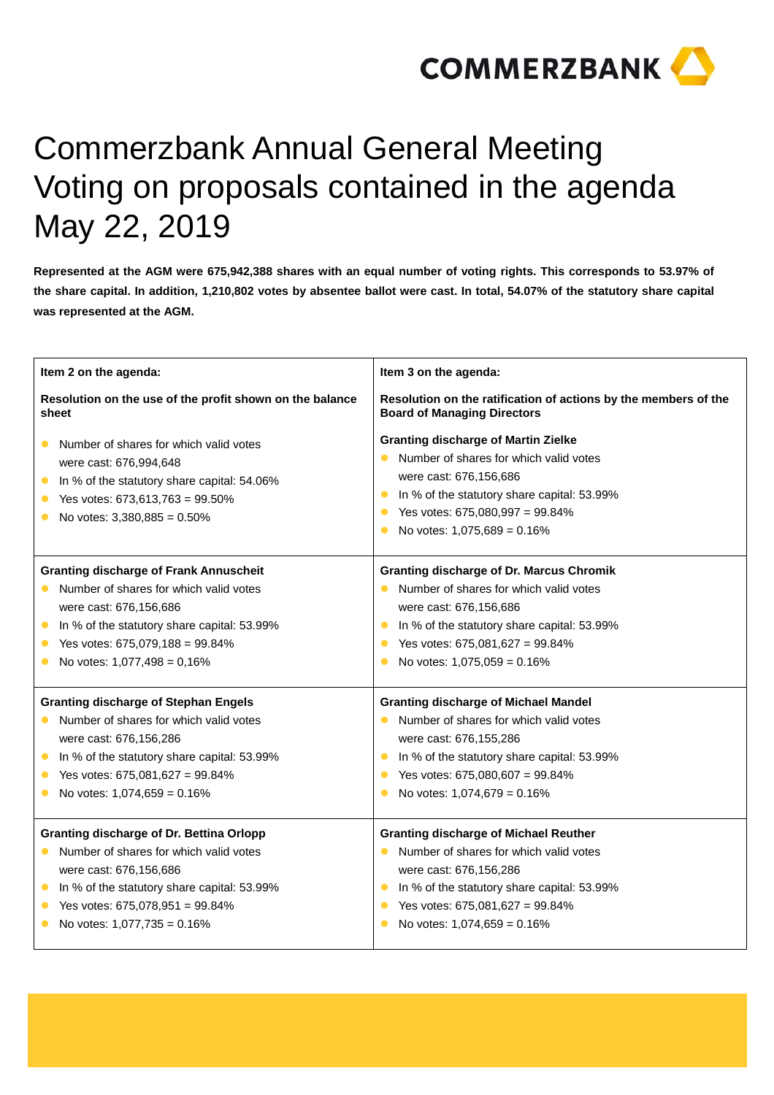

## Commerzbank Annual General Meeting Voting on proposals contained in the agenda May 22, 2019

**Represented at the AGM were 675,942,388 shares with an equal number of voting rights. This corresponds to 53.97% of the share capital. In addition, 1,210,802 votes by absentee ballot were cast. In total, 54.07% of the statutory share capital was represented at the AGM.** 

| Item 2 on the agenda:                                                                                                                                                                                                                                        | Item 3 on the agenda:                                                                                                                                                                                                                                                                       |
|--------------------------------------------------------------------------------------------------------------------------------------------------------------------------------------------------------------------------------------------------------------|---------------------------------------------------------------------------------------------------------------------------------------------------------------------------------------------------------------------------------------------------------------------------------------------|
| Resolution on the use of the profit shown on the balance<br>sheet                                                                                                                                                                                            | Resolution on the ratification of actions by the members of the<br><b>Board of Managing Directors</b>                                                                                                                                                                                       |
| Number of shares for which valid votes<br>were cast: 676,994,648<br>In % of the statutory share capital: 54.06%<br>$\bullet$<br>Yes votes: 673,613,763 = 99.50%<br>$\bullet$<br>No votes: $3,380,885 = 0.50\%$                                               | <b>Granting discharge of Martin Zielke</b><br>Number of shares for which valid votes<br>were cast: 676,156,686<br>In % of the statutory share capital: 53.99%<br>$\bullet$<br>Yes votes: 675,080,997 = 99.84%<br>$\bullet$<br>No votes: $1,075,689 = 0.16\%$<br>$\bullet$                   |
| <b>Granting discharge of Frank Annuscheit</b><br>Number of shares for which valid votes<br>$\bullet$<br>were cast: 676,156,686<br>In % of the statutory share capital: 53.99%<br>$\bullet$<br>Yes votes: 675,079,188 = 99.84%<br>No votes: 1,077,498 = 0,16% | <b>Granting discharge of Dr. Marcus Chromik</b><br>Number of shares for which valid votes<br>$\bullet$<br>were cast: 676,156,686<br>In % of the statutory share capital: 53.99%<br>$\bullet$<br>Yes votes: 675,081,627 = 99.84%<br>$\bullet$<br>No votes: $1,075,059 = 0.16\%$<br>$\bullet$ |
| <b>Granting discharge of Stephan Engels</b><br>Number of shares for which valid votes<br>were cast: 676,156,286<br>In % of the statutory share capital: 53.99%<br>$\bullet$<br>Yes votes: 675,081,627 = 99.84%<br>No votes: 1,074,659 = 0.16%                | <b>Granting discharge of Michael Mandel</b><br>Number of shares for which valid votes<br>$\bullet$<br>were cast: 676,155,286<br>In % of the statutory share capital: 53.99%<br>$\bullet$<br>Yes votes: 675,080,607 = 99.84%<br>$\bullet$<br>No votes: 1,074,679 = 0.16%<br>$\bullet$        |
| Granting discharge of Dr. Bettina Orlopp<br>Number of shares for which valid votes<br>were cast: 676,156,686<br>In % of the statutory share capital: 53.99%<br>$\bullet$<br>Yes votes: 675,078,951 = 99.84%<br>$\bullet$<br>No votes: 1,077,735 = 0.16%      | <b>Granting discharge of Michael Reuther</b><br>Number of shares for which valid votes<br>$\bullet$<br>were cast: 676,156,286<br>In % of the statutory share capital: 53.99%<br>$\bullet$<br>Yes votes: 675,081,627 = 99.84%<br>$\bullet$<br>No votes: $1,074,659 = 0.16\%$<br>$\bullet$    |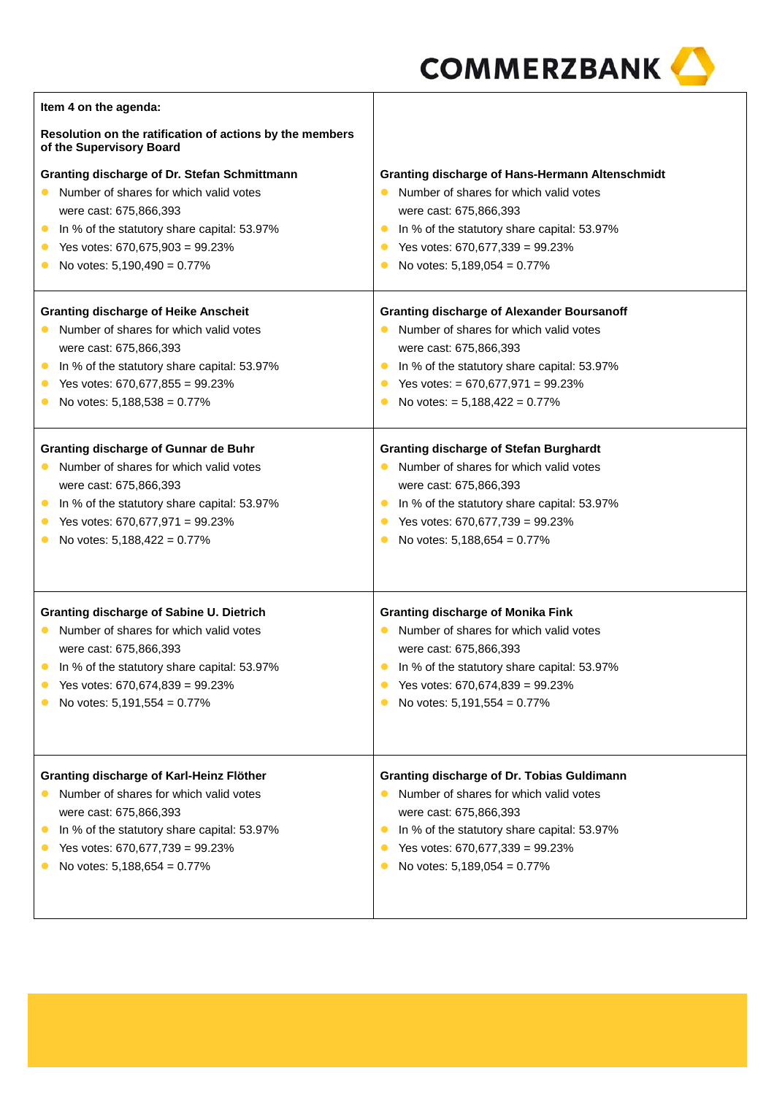| Item 4 on the agenda:                                                                |                                                          |
|--------------------------------------------------------------------------------------|----------------------------------------------------------|
| Resolution on the ratification of actions by the members<br>of the Supervisory Board |                                                          |
| Granting discharge of Dr. Stefan Schmittmann                                         | <b>Granting discharge of Hans-Hermann Altenschmidt</b>   |
| Number of shares for which valid votes                                               | Number of shares for which valid votes<br>$\bullet$      |
| were cast: 675,866,393                                                               | were cast: 675,866,393                                   |
| In % of the statutory share capital: 53.97%<br>$\bullet$                             | In % of the statutory share capital: 53.97%<br>$\bullet$ |
| Yes votes: 670,675,903 = 99.23%<br>$\bullet$                                         | Yes votes: 670,677,339 = 99.23%<br>$\bullet$             |
| No votes: 5,190,490 = 0.77%                                                          | No votes: 5,189,054 = 0.77%                              |
| <b>Granting discharge of Heike Anscheit</b>                                          | <b>Granting discharge of Alexander Boursanoff</b>        |
| Number of shares for which valid votes                                               | Number of shares for which valid votes<br>$\bullet$      |
| were cast: 675,866,393                                                               | were cast: 675,866,393                                   |
| In % of the statutory share capital: 53.97%<br>$\bullet$                             | In % of the statutory share capital: 53.97%<br>$\bullet$ |
| Yes votes: 670,677,855 = 99.23%                                                      | Yes votes: $= 670,677,971 = 99.23\%$<br>$\bullet$        |
| No votes: 5,188,538 = 0.77%                                                          | No votes: = 5,188,422 = 0.77%<br>$\bullet$               |
| Granting discharge of Gunnar de Buhr                                                 | <b>Granting discharge of Stefan Burghardt</b>            |
| Number of shares for which valid votes                                               | Number of shares for which valid votes                   |
| were cast: 675,866,393                                                               | were cast: 675,866,393                                   |
| In % of the statutory share capital: 53.97%<br>$\bullet$                             | In % of the statutory share capital: 53.97%<br>$\bullet$ |
| Yes votes: 670,677,971 = 99.23%<br>$\bullet$                                         | Yes votes: 670,677,739 = 99.23%<br>$\bullet$             |
| No votes: 5,188,422 = 0.77%                                                          | No votes: 5,188,654 = 0.77%<br>$\bullet$                 |
|                                                                                      |                                                          |
| <b>Granting discharge of Sabine U. Dietrich</b>                                      | <b>Granting discharge of Monika Fink</b>                 |
| Number of shares for which valid votes                                               | Number of shares for which valid votes                   |
| were cast: 675,866,393                                                               | were cast: 675,866,393                                   |
| In % of the statutory share capital: 53.97%                                          | In % of the statutory share capital: 53.97%<br>$\bullet$ |
| Yes votes: 670,674,839 = 99.23%                                                      | Yes votes: 670,674,839 = 99.23%                          |
| No votes: 5,191,554 = 0.77%                                                          | No votes: 5,191,554 = 0.77%                              |
|                                                                                      |                                                          |
| Granting discharge of Karl-Heinz Flöther                                             | <b>Granting discharge of Dr. Tobias Guldimann</b>        |
| Number of shares for which valid votes                                               | Number of shares for which valid votes<br>$\bullet$      |
| were cast: 675,866,393                                                               | were cast: 675,866,393                                   |
| In % of the statutory share capital: 53.97%<br>$\bullet$                             | In % of the statutory share capital: 53.97%<br>$\bullet$ |
| Yes votes: 670,677,739 = 99.23%                                                      | Yes votes: 670,677,339 = 99.23%<br>$\bullet$             |
| No votes: $5,188,654 = 0.77\%$                                                       | No votes: 5,189,054 = 0.77%                              |
|                                                                                      |                                                          |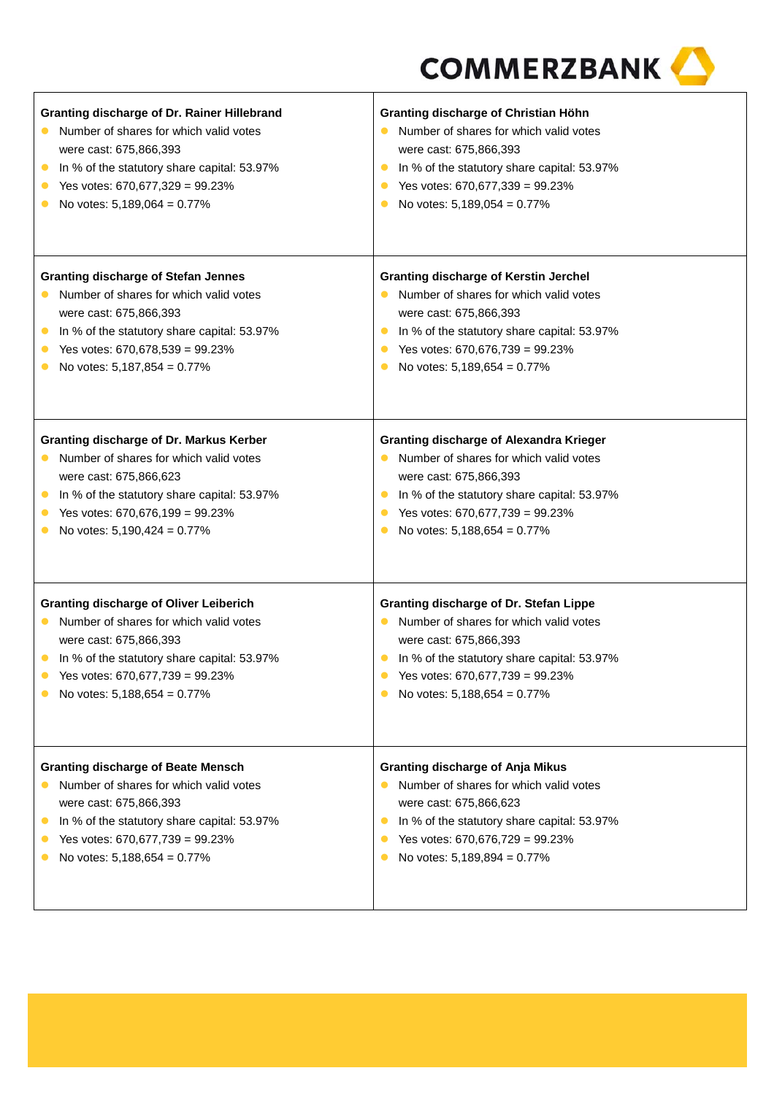| Granting discharge of Dr. Rainer Hillebrand<br>Number of shares for which valid votes<br>$\bullet$<br>were cast: 675,866,393<br>In % of the statutory share capital: 53.97%<br>$\bullet$<br>Yes votes: 670,677,329 = 99.23%<br>$\bullet$<br>No votes: 5,189,064 = 0.77%<br>$\bullet$ | Granting discharge of Christian Höhn<br>Number of shares for which valid votes<br>$\bullet$<br>were cast: 675,866,393<br>In % of the statutory share capital: 53.97%<br>$\bullet$<br>Yes votes: 670,677,339 = 99.23%<br>$\bullet$<br>No votes: 5,189,054 = 0.77%                 |
|--------------------------------------------------------------------------------------------------------------------------------------------------------------------------------------------------------------------------------------------------------------------------------------|----------------------------------------------------------------------------------------------------------------------------------------------------------------------------------------------------------------------------------------------------------------------------------|
| <b>Granting discharge of Stefan Jennes</b><br>Number of shares for which valid votes<br>$\bullet$<br>were cast: 675,866,393<br>In % of the statutory share capital: 53.97%<br>$\bullet$<br>Yes votes: 670,678,539 = 99.23%<br>$\bullet$<br>No votes: 5,187,854 = 0.77%<br>$\bullet$  | <b>Granting discharge of Kerstin Jerchel</b><br>Number of shares for which valid votes<br>$\bullet$<br>were cast: 675,866,393<br>In % of the statutory share capital: 53.97%<br>$\bullet$<br>Yes votes: 670,676,739 = 99.23%<br>$\bullet$<br>No votes: $5,189,654 = 0.77\%$      |
| Granting discharge of Dr. Markus Kerber<br>Number of shares for which valid votes<br>$\bullet$<br>were cast: 675,866,623<br>In % of the statutory share capital: 53.97%<br>$\bullet$<br>Yes votes: $670,676,199 = 99.23\%$<br>$\bullet$<br>No votes: 5,190,424 = 0.77%<br>$\bullet$  | <b>Granting discharge of Alexandra Krieger</b><br>Number of shares for which valid votes<br>$\bullet$<br>were cast: 675,866,393<br>In % of the statutory share capital: 53.97%<br>$\bullet$<br>Yes votes: 670,677,739 = 99.23%<br>$\bullet$<br>No votes: 5,188,654 = 0.77%       |
| <b>Granting discharge of Oliver Leiberich</b><br>Number of shares for which valid votes<br>$\bullet$<br>were cast: 675,866,393<br>In % of the statutory share capital: 53.97%<br>$\bullet$<br>Yes votes: 670,677,739 = 99.23%<br>$\bullet$<br>No votes: 5,188,654 = 0.77%            | Granting discharge of Dr. Stefan Lippe<br>Number of shares for which valid votes<br>$\bullet$<br>were cast: 675,866,393<br>In % of the statutory share capital: 53.97%<br>$\bullet$<br>Yes votes: 670,677,739 = 99.23%<br>No votes: $5,188,654 = 0.77\%$                         |
| <b>Granting discharge of Beate Mensch</b><br>Number of shares for which valid votes<br>$\bullet$<br>were cast: 675,866,393<br>In % of the statutory share capital: 53.97%<br>$\bullet$<br>Yes votes: 670,677,739 = 99.23%<br>No votes: 5,188,654 = 0.77%                             | <b>Granting discharge of Anja Mikus</b><br>Number of shares for which valid votes<br>$\bullet$<br>were cast: 675,866,623<br>In % of the statutory share capital: 53.97%<br>$\bullet$<br>Yes votes: 670,676,729 = 99.23%<br>$\bullet$<br>No votes: 5,189,894 = 0.77%<br>$\bullet$ |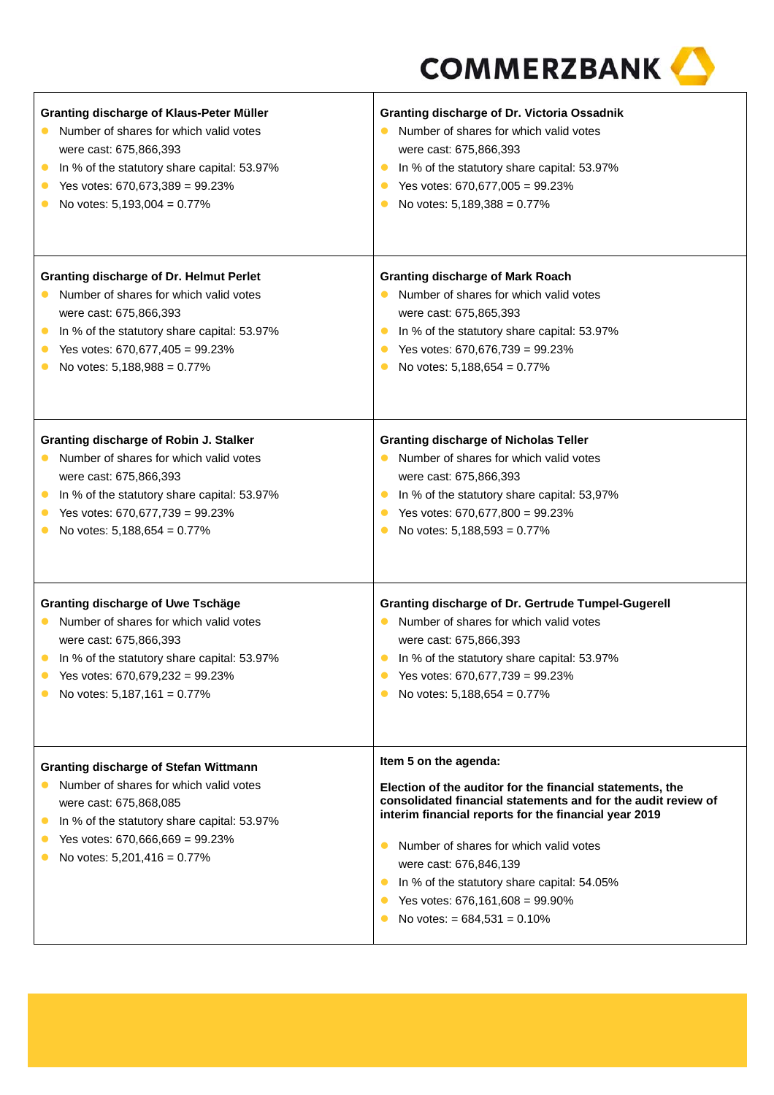| Granting discharge of Klaus-Peter Müller<br>Number of shares for which valid votes<br>$\bullet$<br>were cast: 675,866,393<br>In % of the statutory share capital: 53.97%<br>$\bullet$<br>Yes votes: $670,673,389 = 99.23\%$<br>$\bullet$<br>No votes: 5,193,004 = 0.77%<br>$\bullet$    | Granting discharge of Dr. Victoria Ossadnik<br>Number of shares for which valid votes<br>were cast: 675,866,393<br>In % of the statutory share capital: 53.97%<br>Yes votes: 670,677,005 = 99.23%<br>$\bullet$<br>No votes: 5,189,388 = 0.77%<br>$\bullet$                                                                                                                                                                                  |
|-----------------------------------------------------------------------------------------------------------------------------------------------------------------------------------------------------------------------------------------------------------------------------------------|---------------------------------------------------------------------------------------------------------------------------------------------------------------------------------------------------------------------------------------------------------------------------------------------------------------------------------------------------------------------------------------------------------------------------------------------|
| <b>Granting discharge of Dr. Helmut Perlet</b><br>Number of shares for which valid votes<br>$\bullet$<br>were cast: 675,866,393<br>In % of the statutory share capital: 53.97%<br>$\bullet$<br>Yes votes: 670,677,405 = 99.23%<br>$\bullet$<br>No votes: 5,188,988 = 0.77%<br>$\bullet$ | <b>Granting discharge of Mark Roach</b><br>Number of shares for which valid votes<br>$\bullet$<br>were cast: 675,865,393<br>In % of the statutory share capital: 53.97%<br>$\bullet$<br>Yes votes: 670,676,739 = 99.23%<br>$\bullet$<br>No votes: 5,188,654 = 0.77%<br>$\bullet$                                                                                                                                                            |
| Granting discharge of Robin J. Stalker<br>Number of shares for which valid votes<br>$\bullet$<br>were cast: 675,866,393<br>In % of the statutory share capital: 53.97%<br>$\bullet$<br>Yes votes: 670,677,739 = 99.23%<br>No votes: 5,188,654 = 0.77%<br>$\bullet$                      | <b>Granting discharge of Nicholas Teller</b><br>Number of shares for which valid votes<br>$\bullet$<br>were cast: 675,866,393<br>In % of the statutory share capital: 53,97%<br>$\bullet$<br>Yes votes: 670,677,800 = 99.23%<br>$\bullet$<br>No votes: 5,188,593 = 0.77%<br>$\bullet$                                                                                                                                                       |
| <b>Granting discharge of Uwe Tschäge</b><br>Number of shares for which valid votes<br>$\bullet$<br>were cast: 675,866,393<br>In % of the statutory share capital: 53.97%<br>$\bullet$<br>Yes votes: 670,679,232 = 99.23%<br>$\bullet$<br>No votes: $5,187,161 = 0.77\%$                 | <b>Granting discharge of Dr. Gertrude Tumpel-Gugerell</b><br>Number of shares for which valid votes<br>$\bullet$<br>were cast: 675,866,393<br>In % of the statutory share capital: 53.97%<br>$\bullet$<br>Yes votes: 670,677,739 = 99.23%<br>$\bullet$<br>No votes: $5,188,654 = 0.77\%$                                                                                                                                                    |
| <b>Granting discharge of Stefan Wittmann</b><br>Number of shares for which valid votes<br>were cast: 675,868,085<br>In % of the statutory share capital: 53.97%<br>$\bullet$<br>Yes votes: 670,666,669 = 99.23%<br>No votes: $5,201,416 = 0.77\%$                                       | Item 5 on the agenda:<br>Election of the auditor for the financial statements, the<br>consolidated financial statements and for the audit review of<br>interim financial reports for the financial year 2019<br>Number of shares for which valid votes<br>$\bullet$<br>were cast: 676,846,139<br>In % of the statutory share capital: 54.05%<br>$\bullet$<br>Yes votes: 676,161,608 = 99.90%<br>No votes: $= 684,531 = 0.10\%$<br>$\bullet$ |

Τ